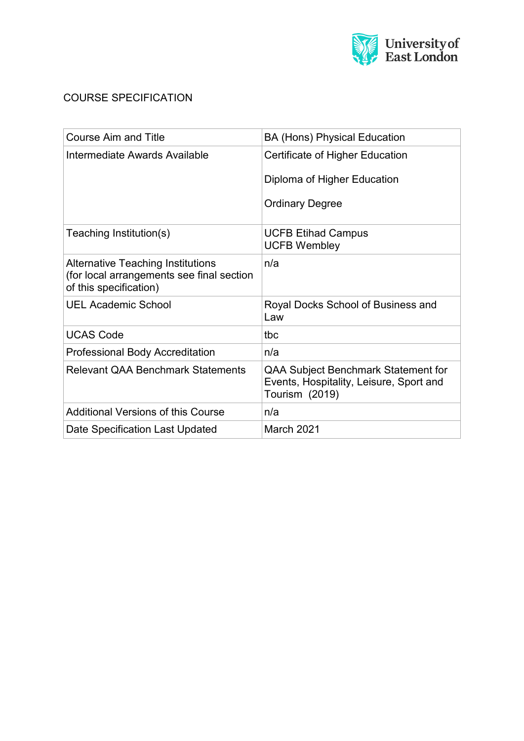

## COURSE SPECIFICATION

| <b>Course Aim and Title</b>                                                                                     | <b>BA (Hons) Physical Education</b>                                                                     |
|-----------------------------------------------------------------------------------------------------------------|---------------------------------------------------------------------------------------------------------|
| Intermediate Awards Available                                                                                   | Certificate of Higher Education                                                                         |
|                                                                                                                 | Diploma of Higher Education                                                                             |
|                                                                                                                 | <b>Ordinary Degree</b>                                                                                  |
| Teaching Institution(s)                                                                                         | <b>UCFB Etihad Campus</b><br><b>UCFB Wembley</b>                                                        |
| <b>Alternative Teaching Institutions</b><br>(for local arrangements see final section<br>of this specification) | n/a                                                                                                     |
| <b>UEL Academic School</b>                                                                                      | Royal Docks School of Business and<br>Law                                                               |
| <b>UCAS Code</b>                                                                                                | tbc                                                                                                     |
| <b>Professional Body Accreditation</b>                                                                          | n/a                                                                                                     |
| <b>Relevant QAA Benchmark Statements</b>                                                                        | <b>QAA Subject Benchmark Statement for</b><br>Events, Hospitality, Leisure, Sport and<br>Tourism (2019) |
| <b>Additional Versions of this Course</b>                                                                       | n/a                                                                                                     |
| Date Specification Last Updated                                                                                 | March 2021                                                                                              |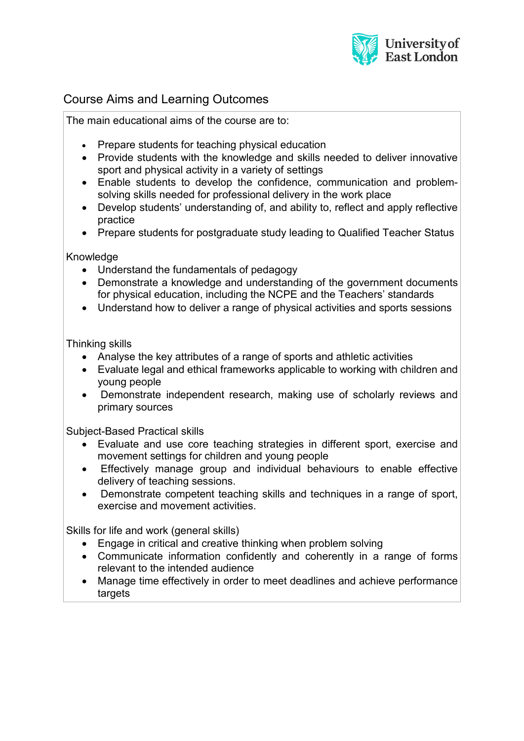

# Course Aims and Learning Outcomes

The main educational aims of the course are to:

- Prepare students for teaching physical education
- Provide students with the knowledge and skills needed to deliver innovative sport and physical activity in a variety of settings
- Enable students to develop the confidence, communication and problemsolving skills needed for professional delivery in the work place
- Develop students' understanding of, and ability to, reflect and apply reflective practice
- Prepare students for postgraduate study leading to Qualified Teacher Status

Knowledge

- Understand the fundamentals of pedagogy
- Demonstrate a knowledge and understanding of the government documents for physical education, including the NCPE and the Teachers' standards
- Understand how to deliver a range of physical activities and sports sessions

Thinking skills

- Analyse the key attributes of a range of sports and athletic activities
- Evaluate legal and ethical frameworks applicable to working with children and young people
- Demonstrate independent research, making use of scholarly reviews and primary sources

Subject-Based Practical skills

- Evaluate and use core teaching strategies in different sport, exercise and movement settings for children and young people
- Effectively manage group and individual behaviours to enable effective delivery of teaching sessions.
- Demonstrate competent teaching skills and techniques in a range of sport, exercise and movement activities.

Skills for life and work (general skills)

- Engage in critical and creative thinking when problem solving
- Communicate information confidently and coherently in a range of forms relevant to the intended audience
- Manage time effectively in order to meet deadlines and achieve performance targets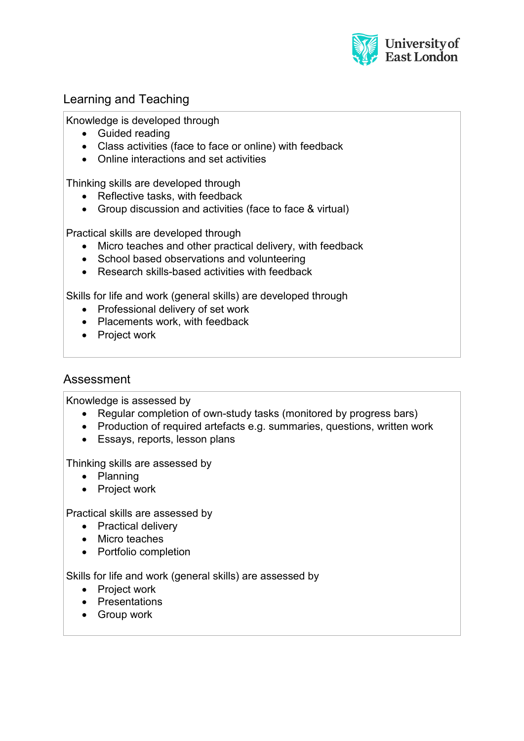

## Learning and Teaching

Knowledge is developed through

- Guided reading
- Class activities (face to face or online) with feedback
- Online interactions and set activities

Thinking skills are developed through

- Reflective tasks, with feedback
- Group discussion and activities (face to face & virtual)

Practical skills are developed through

- Micro teaches and other practical delivery, with feedback
- School based observations and volunteering
- Research skills-based activities with feedback

Skills for life and work (general skills) are developed through

- Professional delivery of set work
- Placements work, with feedback
- Project work

## Assessment

Knowledge is assessed by

- Regular completion of own-study tasks (monitored by progress bars)
- Production of required artefacts e.g. summaries, questions, written work
- Essays, reports, lesson plans

Thinking skills are assessed by

- Planning
- Project work

Practical skills are assessed by

- Practical delivery
- Micro teaches
- Portfolio completion

Skills for life and work (general skills) are assessed by

- Project work
- Presentations
- Group work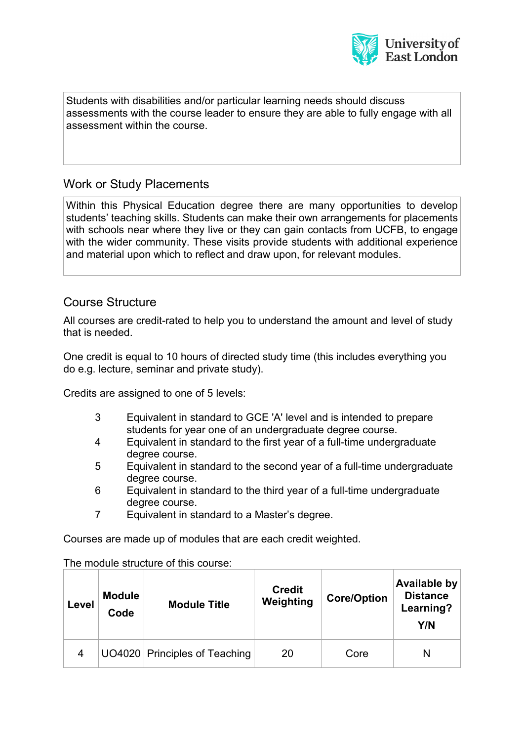

Students with disabilities and/or particular learning needs should discuss assessments with the course leader to ensure they are able to fully engage with all assessment within the course.

## Work or Study Placements

Within this Physical Education degree there are many opportunities to develop students' teaching skills. Students can make their own arrangements for placements with schools near where they live or they can gain contacts from UCFB, to engage with the wider community. These visits provide students with additional experience and material upon which to reflect and draw upon, for relevant modules.

## Course Structure

All courses are credit-rated to help you to understand the amount and level of study that is needed.

One credit is equal to 10 hours of directed study time (this includes everything you do e.g. lecture, seminar and private study).

Credits are assigned to one of 5 levels:

- 3 Equivalent in standard to GCE 'A' level and is intended to prepare students for year one of an undergraduate degree course.
- 4 Equivalent in standard to the first year of a full-time undergraduate degree course.
- 5 Equivalent in standard to the second year of a full-time undergraduate degree course.
- 6 Equivalent in standard to the third year of a full-time undergraduate degree course.
- 7 Equivalent in standard to a Master's degree.

Courses are made up of modules that are each credit weighted.

The module structure of this course:

| Level | <b>Module</b><br>Code | <b>Module Title</b>           | <b>Credit</b><br>Weighting | <b>Core/Option</b> | Available by<br><b>Distance</b><br>Learning?<br>Y/N |
|-------|-----------------------|-------------------------------|----------------------------|--------------------|-----------------------------------------------------|
| 4     |                       | UO4020 Principles of Teaching | 20                         | Core               | N                                                   |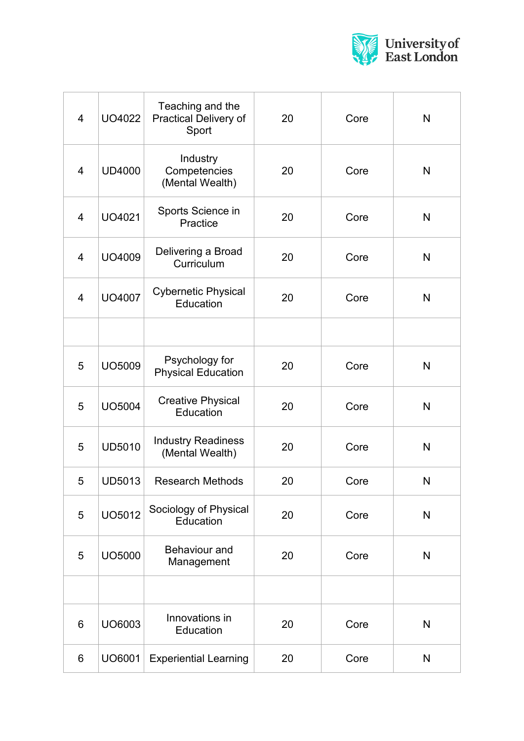

| $\overline{4}$ | UO4022        | Teaching and the<br><b>Practical Delivery of</b><br>Sport | 20 | Core | N            |
|----------------|---------------|-----------------------------------------------------------|----|------|--------------|
| $\overline{4}$ | <b>UD4000</b> | Industry<br>Competencies<br>(Mental Wealth)               | 20 | Core | N            |
| 4              | UO4021        | Sports Science in<br>Practice                             | 20 | Core | $\mathsf{N}$ |
| $\overline{4}$ | UO4009        | Delivering a Broad<br>Curriculum                          | 20 | Core | N            |
| $\overline{4}$ | <b>UO4007</b> | <b>Cybernetic Physical</b><br>Education                   | 20 | Core | N            |
|                |               |                                                           |    |      |              |
| 5              | UO5009        | Psychology for<br><b>Physical Education</b>               | 20 | Core | N            |
| 5              | <b>UO5004</b> | <b>Creative Physical</b><br>Education                     | 20 | Core | $\mathsf{N}$ |
| 5              | <b>UD5010</b> | <b>Industry Readiness</b><br>(Mental Wealth)              | 20 | Core | $\mathsf{N}$ |
| 5              | <b>UD5013</b> | <b>Research Methods</b>                                   | 20 | Core | N            |
| 5              | UO5012        | Sociology of Physical<br>Education                        | 20 | Core | $\mathsf{N}$ |
| 5              | UO5000        | <b>Behaviour and</b><br>Management                        | 20 | Core | N            |
|                |               |                                                           |    |      |              |
| 6              | UO6003        | Innovations in<br>Education                               | 20 | Core | N            |
| 6              | UO6001        | <b>Experiential Learning</b>                              | 20 | Core | N            |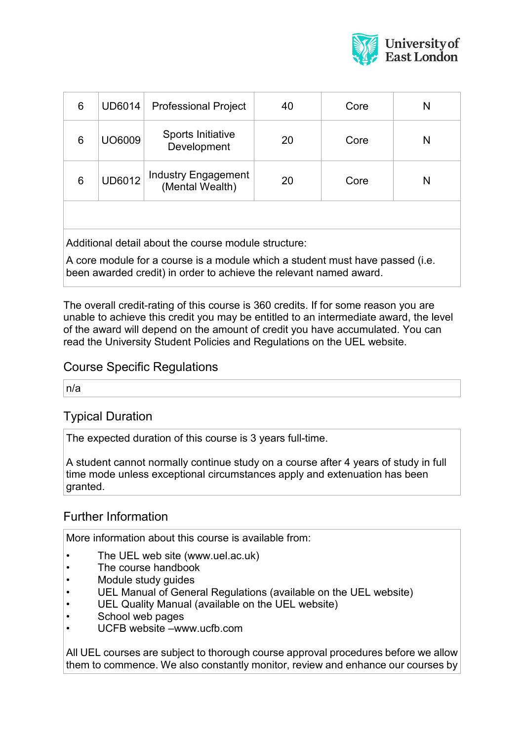

| 6                                                    | <b>UD6014</b> | <b>Professional Project</b>            | 40 | Core | N |
|------------------------------------------------------|---------------|----------------------------------------|----|------|---|
| 6                                                    | UO6009        | Sports Initiative<br>Development       | 20 | Core | N |
| 6                                                    | <b>UD6012</b> | Industry Engagement<br>(Mental Wealth) | 20 | Core | N |
|                                                      |               |                                        |    |      |   |
| Additional detail about the course module structure: |               |                                        |    |      |   |

A core module for a course is a module which a student must have passed (i.e. been awarded credit) in order to achieve the relevant named award.

The overall credit-rating of this course is 360 credits. If for some reason you are unable to achieve this credit you may be entitled to an intermediate award, the level of the award will depend on the amount of credit you have accumulated. You can read the University Student Policies and Regulations on the UEL website.

#### Course Specific Regulations

n/a

## Typical Duration

The expected duration of this course is 3 years full-time.

A student cannot normally continue study on a course after 4 years of study in full time mode unless exceptional circumstances apply and extenuation has been granted.

## Further Information

More information about this course is available from:

- The UEL web site (www.uel.ac.uk)
- The course handbook
- Module study guides
- UEL Manual of General Regulations (available on the UEL website)
- UEL Quality Manual (available on the UEL website)
- School web pages
- UCFB website –www.ucfb.com

All UEL courses are subject to thorough course approval procedures before we allow them to commence. We also constantly monitor, review and enhance our courses by